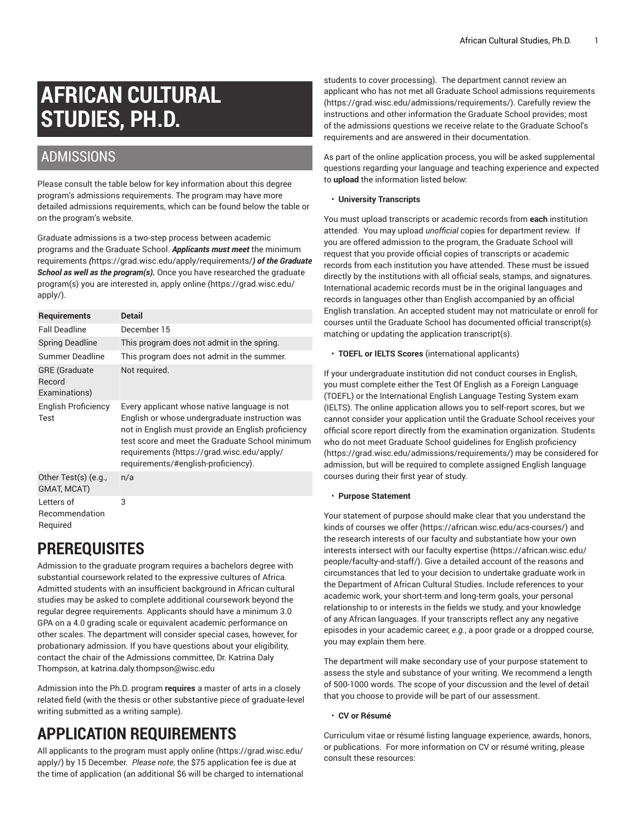# **AFRICAN CULTURAL STUDIES, PH.D.**

### ADMISSIONS

Please consult the table below for key information about this degree program's admissions requirements. The program may have more detailed admissions requirements, which can be found below the table or on the program's website.

Graduate admissions is a two-step process between academic programs and the Graduate School. *Applicants must meet* [the minimum](https://grad.wisc.edu/apply/requirements/) [requirements](https://grad.wisc.edu/apply/requirements/) *(*<https://grad.wisc.edu/apply/requirements/>*) of the Graduate School as well as the program(s).* Once you have researched the graduate program(s) you are interested in, [apply online \(https://grad.wisc.edu/](https://grad.wisc.edu/apply/) [apply/\)](https://grad.wisc.edu/apply/).

| <b>Requirements</b>                             | <b>Detail</b>                                                                                                                                                                                                                                                                                |
|-------------------------------------------------|----------------------------------------------------------------------------------------------------------------------------------------------------------------------------------------------------------------------------------------------------------------------------------------------|
| <b>Fall Deadline</b>                            | December 15                                                                                                                                                                                                                                                                                  |
| <b>Spring Deadline</b>                          | This program does not admit in the spring.                                                                                                                                                                                                                                                   |
| Summer Deadline                                 | This program does not admit in the summer.                                                                                                                                                                                                                                                   |
| <b>GRE</b> (Graduate<br>Record<br>Examinations) | Not required.                                                                                                                                                                                                                                                                                |
| English Proficiency<br>Test                     | Every applicant whose native language is not<br>English or whose undergraduate instruction was<br>not in English must provide an English proficiency<br>test score and meet the Graduate School minimum<br>requirements (https://grad.wisc.edu/apply/<br>requirements/#english-proficiency). |
| Other Test(s) (e.g.,<br>GMAT, MCAT)             | n/a                                                                                                                                                                                                                                                                                          |
| Letters of<br>Recommendation<br>Required        | 3                                                                                                                                                                                                                                                                                            |

### **PREREQUISITES**

Admission to the graduate program requires a bachelors degree with substantial coursework related to the expressive cultures of Africa. Admitted students with an insufficient background in African cultural studies may be asked to complete additional coursework beyond the regular degree requirements. Applicants should have a minimum 3.0 GPA on a 4.0 grading scale or equivalent academic performance on other scales. The department will consider special cases, however, for probationary admission. If you have questions about your eligibility, contact the chair of the Admissions committee, Dr. Katrina Daly Thompson, at [katrina.daly.thompson@wisc.edu](mailto:katrina.daly.thompson@wisc.edu)

Admission into the Ph.D. program **requires** a master of arts in a closely related field (with the thesis or other substantive piece of graduate-level writing submitted as a writing sample).

## **APPLICATION REQUIREMENTS**

All applicants to the program must apply [online \(https://grad.wisc.edu/](https://grad.wisc.edu/apply/) [apply/\)](https://grad.wisc.edu/apply/) by 15 December. *Please note*, the \$75 application fee is due at the time of application (an additional \$6 will be charged to international

students to cover processing). The department cannot review an applicant who has not met all Graduate School admissions [requirements](https://grad.wisc.edu/admissions/requirements/) [\(https://grad.wisc.edu/admissions/requirements/\)](https://grad.wisc.edu/admissions/requirements/). Carefully review the instructions and other information the Graduate School provides; most of the admissions questions we receive relate to the Graduate School's requirements and are answered in their documentation.

As part of the online application process, you will be asked supplemental questions regarding your language and teaching experience and expected to **upload** the information listed below:

#### • **University Transcripts**

You must upload transcripts or academic records from **each** institution attended. You may upload *unofficial* copies for department review. If you are offered admission to the program, the Graduate School will request that you provide official copies of transcripts or academic records from each institution you have attended. These must be issued directly by the institutions with all official seals, stamps, and signatures. International academic records must be in the original languages and records in languages other than English accompanied by an official English translation. An accepted student may not matriculate or enroll for courses until the Graduate School has documented official transcript(s) matching or updating the application transcript(s).

• **TOEFL or IELTS Scores** (international applicants)

If your undergraduate institution did not conduct courses in English, you must complete either the Test Of English as a Foreign Language (TOEFL) or the International English Language Testing System exam (IELTS). The online application allows you to self-report scores, but we cannot consider your application until the Graduate School receives your official score report directly from the examination organization. Students who do not meet Graduate School guidelines for English [proficiency](https://grad.wisc.edu/admissions/requirements/) [\(https://grad.wisc.edu/admissions/requirements/\)](https://grad.wisc.edu/admissions/requirements/) may be considered for admission, but will be required to complete assigned English language courses during their first year of study.

#### • **Purpose Statement**

Your statement of purpose should make clear that you understand the kinds of [courses](https://african.wisc.edu/acs-courses/) we offer [\(https://african.wisc.edu/acs-courses/](https://african.wisc.edu/acs-courses/)) and the research interests of our faculty and substantiate how your own interests intersect with our faculty [expertise](https://african.wisc.edu/people/faculty-and-staff/) [\(https://african.wisc.edu/](https://african.wisc.edu/people/faculty-and-staff/) [people/faculty-and-staff/\)](https://african.wisc.edu/people/faculty-and-staff/). Give a detailed account of the reasons and circumstances that led to your decision to undertake graduate work in the Department of African Cultural Studies. Include references to your academic work, your short-term and long-term goals, your personal relationship to or interests in the fields we study, and your knowledge of any African languages. If your transcripts reflect any any negative episodes in your academic career, *e.g.*, a poor grade or a dropped course, you may explain them here.

The department will make secondary use of your purpose statement to assess the style and substance of your writing. We recommend a length of 500-1000 words. The scope of your discussion and the level of detail that you choose to provide will be part of our assessment.

#### • **CV or Résumé**

Curriculum vitae or résumé listing language experience, awards, honors, or publications. For more information on CV or résumé writing, please consult these resources: